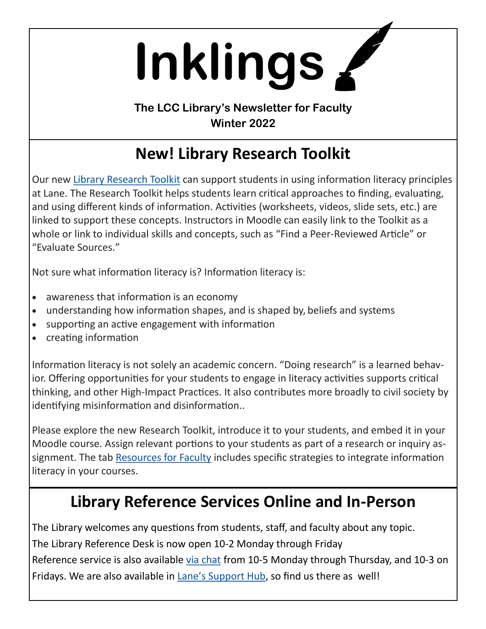**Inklings**

**The LCC Library's Newsletter for Faculty Winter 2022**

# **New! Library Research Toolkit**

Our new [Library Research Toolkit](https://libraryguides.lanecc.edu/researchtoolkit) can support students in using information literacy principles at Lane. The Research Toolkit helps students learn critical approaches to finding, evaluating, and using different kinds of information. Activities (worksheets, videos, slide sets, etc.) are linked to support these concepts. Instructors in Moodle can easily link to the Toolkit as a whole or link to individual skills and concepts, such as "Find a Peer-Reviewed Article" or "Evaluate Sources."

Not sure what information literacy is? Information literacy is:

- awareness that information is an economy
- understanding how information shapes, and is shaped by, beliefs and systems
- supporting an active engagement with information
- creating information

Information literacy is not solely an academic concern. "Doing research" is a learned behavior. Offering opportunities for your students to engage in literacy activities supports critical thinking, and other High-Impact Practices. It also contributes more broadly to civil society by identifying misinformation and disinformation..

Please explore the new Research Toolkit, introduce it to your students, and embed it in your Moodle course. Assign relevant portions to your students as part of a research or inquiry as-signment. The tab [Resources for Faculty](https://libraryguides.lanecc.edu/c.php?g=1093109&p=8110396) includes specific strategies to integrate information literacy in your courses.

### **Library Reference Services Online and In-Person**

The Library welcomes any questions from students, staff, and faculty about any topic. The Library Reference Desk is now open 10-2 Monday through Friday Reference service is also available [via chat](https://library.lanecc.edu/custom/widgets/libchat.html) from 10-5 Monday through Thursday, and 10-3 on Fridays. We are also available in Lane'[s Support Hub,](https://lanecc.edu/hub) so find us there as well!